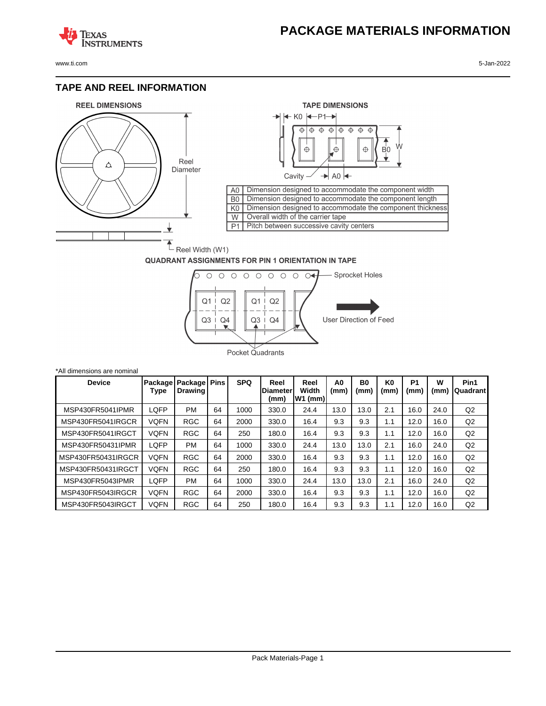# **PACKAGE MATERIALS INFORMATION**

**TEXAS NSTRUMENTS** 

www.ti.com 5-Jan-2022

## **TAPE AND REEL INFORMATION**





## **QUADRANT ASSIGNMENTS FOR PIN 1 ORIENTATION IN TAPE**



| *All dimensions are nominal |             |                                            |    |            |                          |                            |            |                   |                        |                        |           |                  |
|-----------------------------|-------------|--------------------------------------------|----|------------|--------------------------|----------------------------|------------|-------------------|------------------------|------------------------|-----------|------------------|
| <b>Device</b>               | Type        | Package   Package   Pins<br><b>Drawing</b> |    | <b>SPQ</b> | Reel<br>Diameter<br>(mm) | Reel<br>Width<br>$W1$ (mm) | A0<br>(mm) | <b>B0</b><br>(mm) | K <sub>0</sub><br>(mm) | P <sub>1</sub><br>(mm) | W<br>(mm) | Pin1<br>Quadrant |
| MSP430FR5041IPMR            | LQFP        | <b>PM</b>                                  | 64 | 1000       | 330.0                    | 24.4                       | 13.0       | 13.0              | 2.1                    | 16.0                   | 24.0      | Q2               |
| MSP430FR5041IRGCR           | VQFN        | <b>RGC</b>                                 | 64 | 2000       | 330.0                    | 16.4                       | 9.3        | 9.3               | 1.1                    | 12.0                   | 16.0      | Q2               |
| MSP430FR5041IRGCT           | VQFN        | <b>RGC</b>                                 | 64 | 250        | 180.0                    | 16.4                       | 9.3        | 9.3               | 1.1                    | 12.0                   | 16.0      | Q2               |
| MSP430FR50431IPMR           | LQFP        | <b>PM</b>                                  | 64 | 1000       | 330.0                    | 24.4                       | 13.0       | 13.0              | 2.1                    | 16.0                   | 24.0      | Q2               |
| MSP430FR50431IRGCR          | VQFN        | <b>RGC</b>                                 | 64 | 2000       | 330.0                    | 16.4                       | 9.3        | 9.3               | 1.1                    | 12.0                   | 16.0      | Q2               |
| MSP430FR50431IRGCT          | VQFN        | <b>RGC</b>                                 | 64 | 250        | 180.0                    | 16.4                       | 9.3        | 9.3               | 1.1                    | 12.0                   | 16.0      | Q2               |
| MSP430FR5043IPMR            | LQFP        | <b>PM</b>                                  | 64 | 1000       | 330.0                    | 24.4                       | 13.0       | 13.0              | 2.1                    | 16.0                   | 24.0      | Q2               |
| MSP430FR5043IRGCR           | <b>VQFN</b> | <b>RGC</b>                                 | 64 | 2000       | 330.0                    | 16.4                       | 9.3        | 9.3               | 1.1                    | 12.0                   | 16.0      | Q2               |
| MSP430FR5043IRGCT           | VQFN        | <b>RGC</b>                                 | 64 | 250        | 180.0                    | 16.4                       | 9.3        | 9.3               | 1.1                    | 12.0                   | 16.0      | Q2               |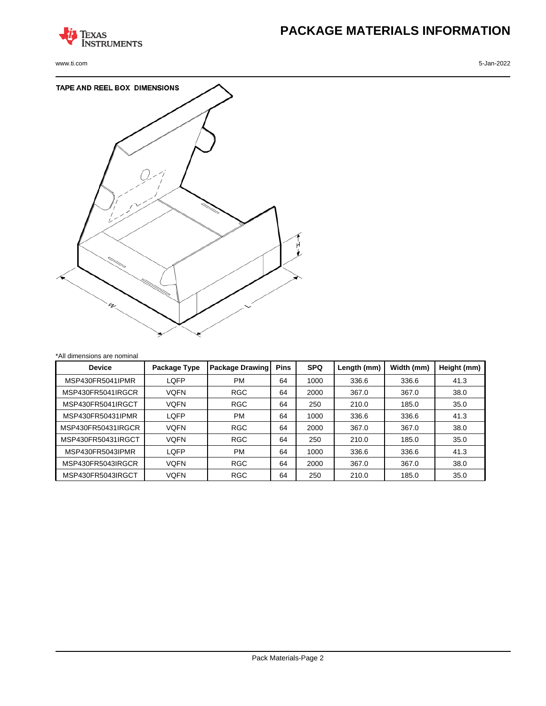

www.ti.com 5-Jan-2022

# **PACKAGE MATERIALS INFORMATION**



| *All dimensions are nominal |              |                 |             |            |             |            |             |  |  |  |
|-----------------------------|--------------|-----------------|-------------|------------|-------------|------------|-------------|--|--|--|
| <b>Device</b>               | Package Type | Package Drawing | <b>Pins</b> | <b>SPQ</b> | Length (mm) | Width (mm) | Height (mm) |  |  |  |
| MSP430FR5041IPMR            | LQFP         | <b>PM</b>       | 64          | 1000       | 336.6       | 336.6      | 41.3        |  |  |  |
| MSP430FR5041IRGCR           | <b>VQFN</b>  | <b>RGC</b>      | 64          | 2000       | 367.0       | 367.0      | 38.0        |  |  |  |
| MSP430FR5041IRGCT           | <b>VQFN</b>  | <b>RGC</b>      | 64          | 250        | 210.0       | 185.0      | 35.0        |  |  |  |
| MSP430FR50431IPMR           | LQFP         | <b>PM</b>       | 64          | 1000       | 336.6       | 336.6      | 41.3        |  |  |  |
| MSP430FR50431IRGCR          | <b>VOFN</b>  | <b>RGC</b>      | 64          | 2000       | 367.0       | 367.0      | 38.0        |  |  |  |
| MSP430FR50431IRGCT          | <b>VQFN</b>  | <b>RGC</b>      | 64          | 250        | 210.0       | 185.0      | 35.0        |  |  |  |
| MSP430FR5043IPMR            | LQFP         | <b>PM</b>       | 64          | 1000       | 336.6       | 336.6      | 41.3        |  |  |  |
| MSP430FR5043IRGCR           | <b>VOFN</b>  | <b>RGC</b>      | 64          | 2000       | 367.0       | 367.0      | 38.0        |  |  |  |
| MSP430FR5043IRGCT           | <b>VOFN</b>  | <b>RGC</b>      | 64          | 250        | 210.0       | 185.0      | 35.0        |  |  |  |